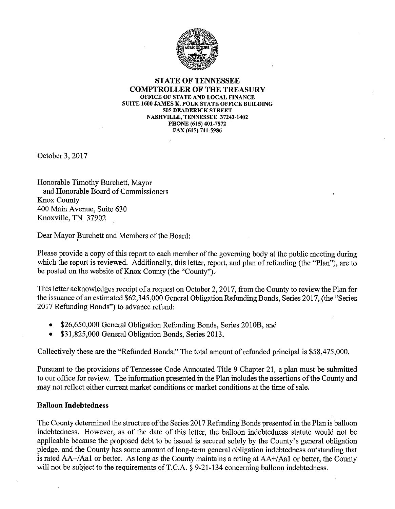

#### STATE OF TENNESSEE COMPTROLLER OF THE TREASURY OFFICE OF STATE AND LOCAL FINANCE SUITE 1600 JAMES K. POLK STATE OFFICE BUILDING 505 DEADERICK STREET NASHVILLE, TENNESSEE 37243-1402 PHONE (615) 401-7872 FAX (615) 741-5986

October 3, 2017

Honorable Timothy Burchett, Mayor and Honorable Board of Commissioners Knox County 400 Main Avenue, Suite 630 Knoxville, TN 37902

Dear Mayor Burchett and Members of the Board:

Please provide a copy of this report to each member of the governing body at the public meeting during which the report is reviewed. Additionally, this letter, report, and plan of refunding (the "Plan"), are to be posted on the website of Knox County (the "County").

This letter acknowledges receipt of a request on October 2,2017, from the County to review the Plan for the issuance of an estimated \$62,345,000 General Obligation Refunding Bonds, Series 2017, (the "Series 2017 Refunding Bonds") to advance refund:

- \$26,650,000 General Obligation Refunding Bonds, Series 2010B, and
- \$31,825,000 General Obligation Bonds, Series 2013.

Collectively these are the "Refunded Bonds." The total amount of refunded principal is \$58,475,000.

Pursuant to the provisions of Tennessee Code Annotated Title 9 Chapter 21, a plan must be submitted to our office for review. The information presented in the Plan includes the assertions of the County and may not reflect either current market conditions or market conditions at the time of sale.

#### Balloon Indebtedness

The County determined the structure of the Series 2017 Refunding Bonds presented in the Plan is balloon indebtedness. However, as of the date of this letter, the balloon indebtedness statute would not be applicable because the proposed debt to be issued is secured solely by the County's general obligation pledge, and the County has some amount of long-term general obligation indebtedness outstanding that is rated AA+/Aal or better. As long as the County maintains a rating at AA+/Aal or better, the County will not be subject to the requirements of T.C.A. § 9-21-134 concerning balloon indebtedness.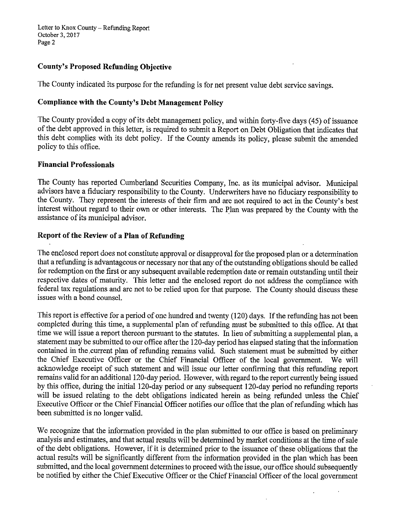Letter to Knox County – Refunding Report October 3,2017 Page 2

### County's Proposed Refunding Objective

The County indicated its purpose for the refunding is for net present value debt service savings.

### Compliance with the County's Debt Management Policy

The County provided a copy of its debt management policy, and within forty-five days (45) of issuance of the debt approved in this letter, is required to submit a Report on Debt Obligation that indicates that this debt complies with its debt policy. If the County amends its policy, please submit the amended policy to this office.

### Financial Professionals

The County has reported Cumberland Securities Company, Inc. as its municipal advisor. Municipal advisors have a fiduciary responsibility to the County. Underwriters have no fiduciary responsibility to the County. They represent the interests of their firm and are not required to act in the County's best interest without regard to their own or other interests. The Plan was prepared by the County with the assistance of its municipal advisor.

### Report of the Review of a Plan of Refunding

The enclosed report does not constitute approval or disapproval for the proposed plan or a determination that a refunding is advantageous or necessary nor that any of the outstanding obligations should be called for redemption on the first or any subsequent available redemption date or remain outstanding until their respective dates of maturity. This letter and the enclosed report do not address the compliance with federal tax regulations and are not to be relied upon for that purpose. The County should discuss these issues with a bond counsel.

This report is effective for a period of one hundred and twenty (120) days. If the refunding has not been completed during this time, a supplemental plan of refunding must be submitted to this office. At that time we will issue a report thereon pursuant to the statutes. In lieu of submitting a supplemental plan, a statement may be submitted to our office after the 120-day period has elapsed stating that the information contained in the,current plan of refunding remains valid. Such statement must be submitted by either the Chief Executive Officer or the Chief Financial Officer of the local government. We will acknowledge receipt of such statement and will issue our letter confirming that this refunding report remains valid for an additional 120-day period. However, with regard to the report currently being issued by this office, during the initial 120-day period or any subsequent 120-day period no refunding reports will be issued relating to the debt obligations indicated herein as being refunded unless the Chief Executive Officer or the Chief Financial Officer notifies our office that the plan of refunding which has been submitted is no longer valid.

We recognize that the information provided in the plan submitted to our office is based on preliminary analysis and estimates, and that actual results will be determined by market conditions at the time of sale of the debt obligations. However, if it is determined prior to the issuance of these obligations that the actual results will be significantly different from the information provided in the plan which has been submitted, and the local government determines to proceed with the issue, our office should subsequently be notified by either the Chief Executive Officer or the Chief Financial Officer of the local government

 $\ddot{\phantom{a}}$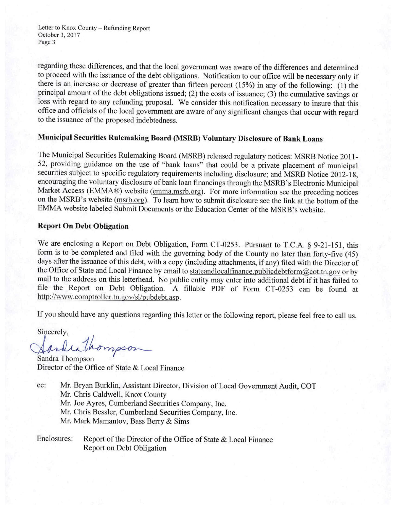Letter to Knox County - Refunding Report October 3,2017 Page 3

regarding these differences, and that the local government was aware of the differences and determined to proceed with the issuance of the debt obligations. Notification to our office will be necessary only if there is an increase or decrease of greater than fifteen percent (15%) in any of the following: (1) the principal amount of the debt obligations issued; (2) the costs of issuance; (3) the cumulative savings or loss with regard to any refunding proposal. We consider this notification necessary to insure that this office and officials of the local government are aware of any significant changes that occur with regard to the issuance of the proposed indebtedness.

# Municipal Securities Rulemaking Board (MSRB) Voluntary Disclosure of Bank Loans

The Municipal Securities Rulemaking Board (MSRB) released regulatory notices: MSRB Notice 2011- 52, providing guidance on the use of "bank loans" that could be a private placement of municipal securities subject to specific regulatory requirements including disclosure; and MSRB Notice 2012-18, encouraging the voluntary disclosure of bank loan financings through the MSRB's Electronic Municipal Market Access (EMMA®) website (emma.msrb.org). For more information see the preceding notices on the MSRB's website (msrb.org). To learn how to submit disclosure see the link at the bottom of the EMMA website labeled Submit Documents or the Education Center of the MSRB's website.

#### Report On Debt Obligation

We are enclosing a Report on Debt Obligation, Form CT-0253. Pursuant to T.C.A. § 9-21-151, this form is to be completed and filed with the governing body of the County no later than forty-five (45) days after the issuance of this debt, with a copy (including attachments, if any) filed with the Director of the Office of State and Local Finance by email to stateandlocalfinance.publicdebtform@.cot.tn.gov or by mail to the address on this letterhead. No public entity may enter into additional debt if it has failed to file the Report on Debt Obligation. A fillable PDF of Form CT-0253 can be found at http://www.comptroller.tn.gov/sl/pubdebt.asp.

If you should have any questions regarding this letter or the following report, please feel free to call us.

Sincerely,<br>Sandrathompson

Sandra Thompson Director of the Office of State & Local Finance

- cc: Mr. Bryan Burklin, Assistant Director, Division of Local Government Audit, COT
	- Mr. Chris Caldwell, Knox County
	- Mr. Joe Ayres, Cumberland Securities Company, Inc.
	- Mr. Chris Bessler, Cumberland Securities Company, Inc.
	- Mr. Mark Mamantov, Bass Berry & Sims

Enclosures: Report of the Director of the Office of State & Local Finance Report on Debt Obligation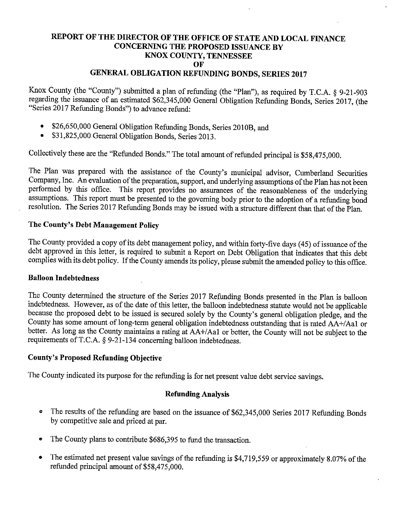## REPORT OF THE DIRECTOR OF THE OFFICE OF STATE AND LOCAL FINANCE CONCERNING THE PROPOSED ISSUANCE BY KNOX COUNTY, TENNESSEE OF GENERAL OBLIGATION REFUNDING BONDS, SERIES 2017

Knox County (the "County") submitted a plan of refunding (the "Plan"), as required by T.C.A. § 9-21-903 regarding the issuance of an estimated \$62,345,000 General Obligation Refunding Bonds, Series 2017, (the "Series 2017 Refunding Bonds") to advance refund:

- \$26,650,000 General Obligation Refunding Bonds, Series 2010B, and
- \$31,825,000 General Obligation Bonds, Series 2013.

Collectively these are the "Refunded Bonds." The total amount of refunded principal is \$58,475,000.

The Plan was prepared with the assistance of the County's municipal advisor, Cumberland Securities Company, Inc. An evaluation of the preparation, support, and underlying assumptions of the Plan has not been performed by this office. This report provides no assurances of the reasonableness of the underlying assumptions. This report must be presented to the governing body prior to the adoption of a refunding bond resolution. The Series 2017 Refunding Bonds may be issued with a structure different than that of the Plan.

## The County's Debt Management Policy

The County provided a copy of its debt management policy, and within forty-five days (45) of issuance of the debt approved in this letter, is required to submit a Report on Debt Obligation that indicates that this debt complies with its debt policy. If the County amends its policy, please submit the amended policy to this office.

### Balloon Indebtedness

The County determined the structure of the Series 2017 Refunding Bonds presented in the Plan is balloon indebtedness. However, as of the date of this letter, the balloon indebtedness statute would not be applicable because the proposed debt to be issued is secured solely by the County's general obligation pledge, and the County has some amount of long-term general obligation indebtedness outstanding that is rated AA+/Aal or better. As long as the County maintains a rating at AA+/Aa1 or better, the County will not be subject to the requirements of T.C.A. § 9-21-134 concerning balloon indebtedness.

### County's Proposed Refunding Objective

The County indicated its purpose for the refunding is for net present value debt service savings.

### Refunding Analysis

- ® The results of the refunding are based on the issuance of \$62,345,000 Series 2017 Refunding Bonds by competitive sale and priced at par.
- The County plans to contribute \$686,395 to fund the transaction.
- The estimated net present value savings of the refunding is \$4,719,559 or approximately 8.07% of the refunded principal amount of \$58,475,000.